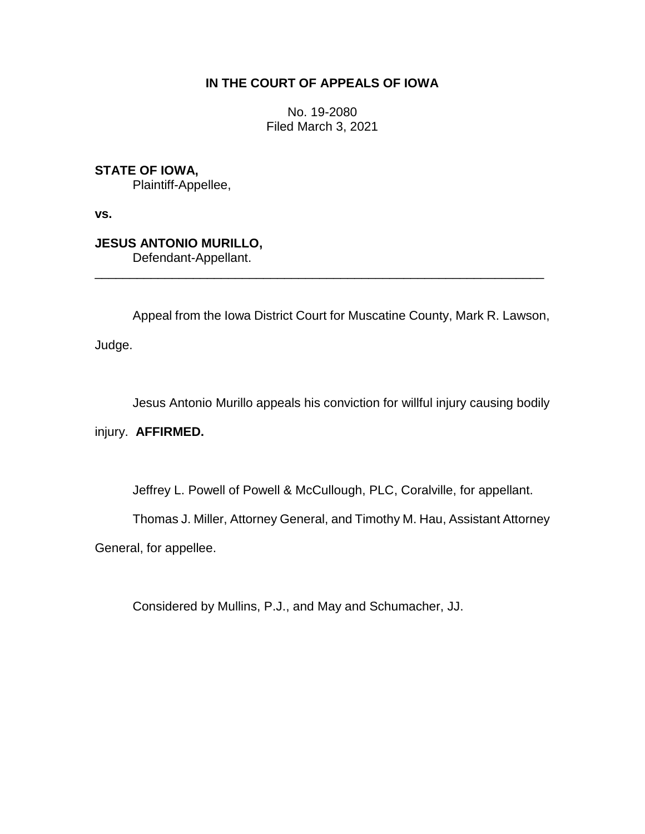# **IN THE COURT OF APPEALS OF IOWA**

No. 19-2080 Filed March 3, 2021

**STATE OF IOWA,**

Plaintiff-Appellee,

**vs.**

**JESUS ANTONIO MURILLO,** Defendant-Appellant.

Appeal from the Iowa District Court for Muscatine County, Mark R. Lawson,

\_\_\_\_\_\_\_\_\_\_\_\_\_\_\_\_\_\_\_\_\_\_\_\_\_\_\_\_\_\_\_\_\_\_\_\_\_\_\_\_\_\_\_\_\_\_\_\_\_\_\_\_\_\_\_\_\_\_\_\_\_\_\_\_

Judge.

Jesus Antonio Murillo appeals his conviction for willful injury causing bodily

injury. **AFFIRMED.**

Jeffrey L. Powell of Powell & McCullough, PLC, Coralville, for appellant.

Thomas J. Miller, Attorney General, and Timothy M. Hau, Assistant Attorney

General, for appellee.

Considered by Mullins, P.J., and May and Schumacher, JJ.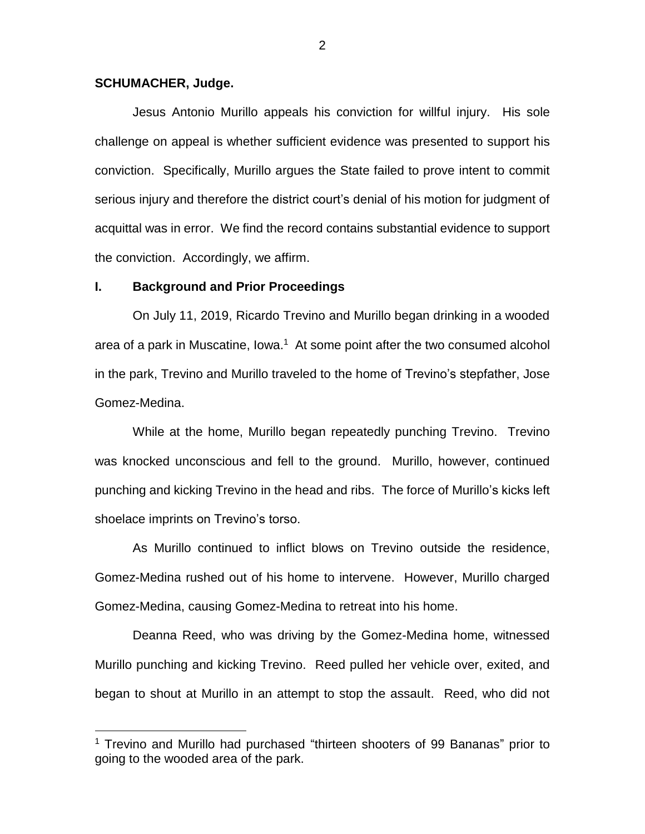#### **SCHUMACHER, Judge.**

 $\overline{a}$ 

Jesus Antonio Murillo appeals his conviction for willful injury. His sole challenge on appeal is whether sufficient evidence was presented to support his conviction. Specifically, Murillo argues the State failed to prove intent to commit serious injury and therefore the district court's denial of his motion for judgment of acquittal was in error. We find the record contains substantial evidence to support the conviction. Accordingly, we affirm.

#### **I. Background and Prior Proceedings**

On July 11, 2019, Ricardo Trevino and Murillo began drinking in a wooded area of a park in Muscatine, Iowa.<sup>1</sup> At some point after the two consumed alcohol in the park, Trevino and Murillo traveled to the home of Trevino's stepfather, Jose Gomez-Medina.

While at the home, Murillo began repeatedly punching Trevino. Trevino was knocked unconscious and fell to the ground. Murillo, however, continued punching and kicking Trevino in the head and ribs. The force of Murillo's kicks left shoelace imprints on Trevino's torso.

As Murillo continued to inflict blows on Trevino outside the residence, Gomez-Medina rushed out of his home to intervene. However, Murillo charged Gomez-Medina, causing Gomez-Medina to retreat into his home.

Deanna Reed, who was driving by the Gomez-Medina home, witnessed Murillo punching and kicking Trevino. Reed pulled her vehicle over, exited, and began to shout at Murillo in an attempt to stop the assault. Reed, who did not

<sup>&</sup>lt;sup>1</sup> Trevino and Murillo had purchased "thirteen shooters of 99 Bananas" prior to going to the wooded area of the park.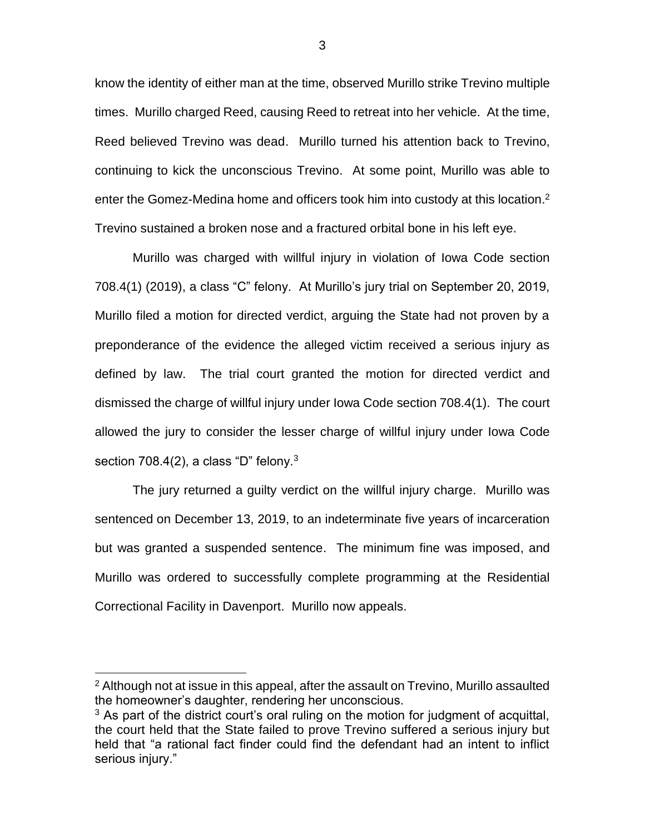know the identity of either man at the time, observed Murillo strike Trevino multiple times. Murillo charged Reed, causing Reed to retreat into her vehicle. At the time, Reed believed Trevino was dead. Murillo turned his attention back to Trevino, continuing to kick the unconscious Trevino. At some point, Murillo was able to enter the Gomez-Medina home and officers took him into custody at this location.<sup>2</sup> Trevino sustained a broken nose and a fractured orbital bone in his left eye.

Murillo was charged with willful injury in violation of Iowa Code section 708.4(1) (2019), a class "C" felony. At Murillo's jury trial on September 20, 2019, Murillo filed a motion for directed verdict, arguing the State had not proven by a preponderance of the evidence the alleged victim received a serious injury as defined by law. The trial court granted the motion for directed verdict and dismissed the charge of willful injury under Iowa Code section 708.4(1). The court allowed the jury to consider the lesser charge of willful injury under Iowa Code section 708.4(2), a class "D" felony. $3$ 

The jury returned a guilty verdict on the willful injury charge. Murillo was sentenced on December 13, 2019, to an indeterminate five years of incarceration but was granted a suspended sentence. The minimum fine was imposed, and Murillo was ordered to successfully complete programming at the Residential Correctional Facility in Davenport. Murillo now appeals.

 $\overline{a}$ 

3

<sup>&</sup>lt;sup>2</sup> Although not at issue in this appeal, after the assault on Trevino, Murillo assaulted the homeowner's daughter, rendering her unconscious.

 $3$  As part of the district court's oral ruling on the motion for judgment of acquittal, the court held that the State failed to prove Trevino suffered a serious injury but held that "a rational fact finder could find the defendant had an intent to inflict serious injury."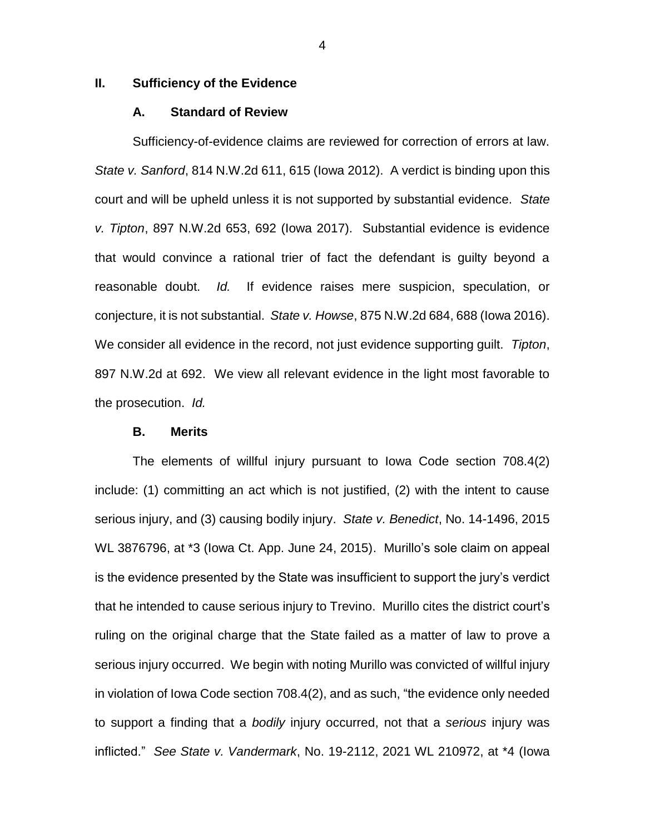## **II. Sufficiency of the Evidence**

## **A. Standard of Review**

Sufficiency-of-evidence claims are reviewed for correction of errors at law. *State v. Sanford*, 814 N.W.2d 611, 615 (Iowa 2012). A verdict is binding upon this court and will be upheld unless it is not supported by substantial evidence. *State v. Tipton*, 897 N.W.2d 653, 692 (Iowa 2017). Substantial evidence is evidence that would convince a rational trier of fact the defendant is guilty beyond a reasonable doubt. *Id.* If evidence raises mere suspicion, speculation, or conjecture, it is not substantial. *State v. Howse*, 875 N.W.2d 684, 688 (Iowa 2016). We consider all evidence in the record, not just evidence supporting guilt. *Tipton*, 897 N.W.2d at 692. We view all relevant evidence in the light most favorable to the prosecution. *Id.* 

## **B. Merits**

The elements of willful injury pursuant to Iowa Code section 708.4(2) include: (1) committing an act which is not justified, (2) with the intent to cause serious injury, and (3) causing bodily injury. *State v. Benedict*, No. 14-1496, 2015 WL 3876796, at \*3 (Iowa Ct. App. June 24, 2015). Murillo's sole claim on appeal is the evidence presented by the State was insufficient to support the jury's verdict that he intended to cause serious injury to Trevino. Murillo cites the district court's ruling on the original charge that the State failed as a matter of law to prove a serious injury occurred. We begin with noting Murillo was convicted of willful injury in violation of Iowa Code section 708.4(2), and as such, "the evidence only needed to support a finding that a *bodily* injury occurred, not that a *serious* injury was inflicted." *See State v. Vandermark*, No. 19-2112, 2021 WL 210972, at \*4 (Iowa

4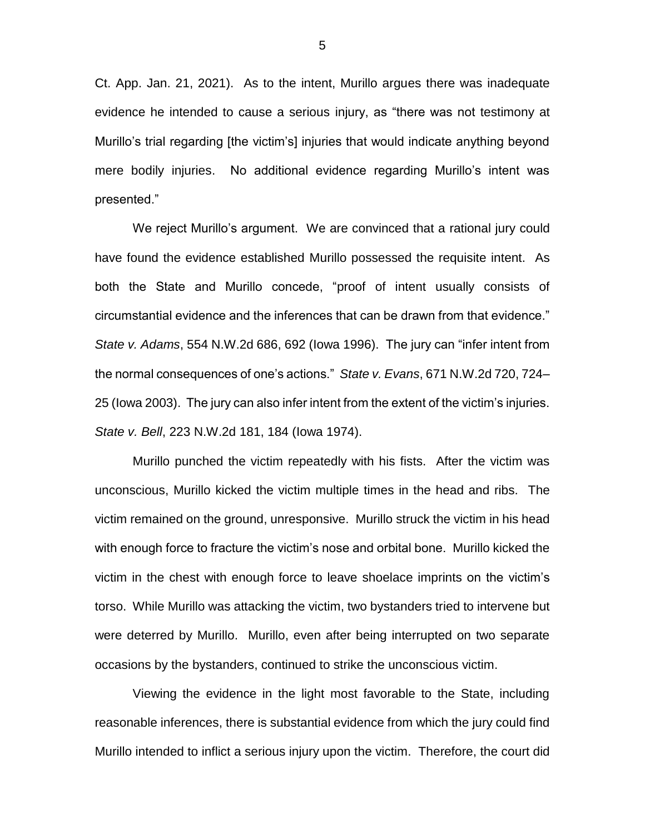Ct. App. Jan. 21, 2021). As to the intent, Murillo argues there was inadequate evidence he intended to cause a serious injury, as "there was not testimony at Murillo's trial regarding [the victim's] injuries that would indicate anything beyond mere bodily injuries. No additional evidence regarding Murillo's intent was presented."

We reject Murillo's argument. We are convinced that a rational jury could have found the evidence established Murillo possessed the requisite intent. As both the State and Murillo concede, "proof of intent usually consists of circumstantial evidence and the inferences that can be drawn from that evidence." *State v. Adams*, 554 N.W.2d 686, 692 (Iowa 1996). The jury can "infer intent from the normal consequences of one's actions." *State v. Evans*, 671 N.W.2d 720, 724– 25 (Iowa 2003). The jury can also infer intent from the extent of the victim's injuries. *State v. Bell*, 223 N.W.2d 181, 184 (Iowa 1974).

Murillo punched the victim repeatedly with his fists. After the victim was unconscious, Murillo kicked the victim multiple times in the head and ribs. The victim remained on the ground, unresponsive. Murillo struck the victim in his head with enough force to fracture the victim's nose and orbital bone. Murillo kicked the victim in the chest with enough force to leave shoelace imprints on the victim's torso. While Murillo was attacking the victim, two bystanders tried to intervene but were deterred by Murillo. Murillo, even after being interrupted on two separate occasions by the bystanders, continued to strike the unconscious victim.

Viewing the evidence in the light most favorable to the State, including reasonable inferences, there is substantial evidence from which the jury could find Murillo intended to inflict a serious injury upon the victim. Therefore, the court did

5